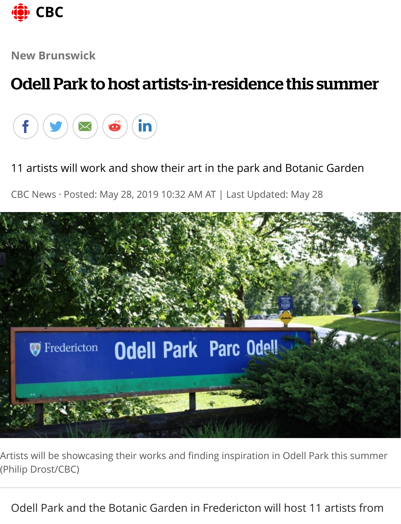

**New Brunswick**

## Odell Park to host artists-in-residence this summer



11 artists will work and show their art in the park and Botanic Garden

CBC News · Posted: May 28, 2019 10:32 AM AT | Last Updated: May 28



Artists will be showcasing their works and finding inspiration in Odell Park this summer (Philip Drost/CBC)

Odell Park and the Botanic Garden in Fredericton will host 11 artists from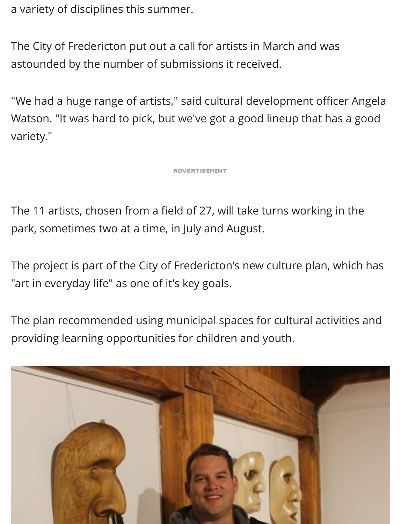a variety of disciplines this summer.

The City of Fredericton put out a call for artists in March and was astounded by the number of submissions it received.

"We had a huge range of artists," said cultural development officer Angela Watson. "It was hard to pick, but we've got a good lineup that has a good variety."

**ADVERTISEMENT** 

The 11 artists, chosen from a field of 27, will take turns working in the park, sometimes two at a time, in July and August.

The project is part of the City of Fredericton's new culture plan, which has "art in everyday life" as one of it's key goals.

The plan recommended using municipal spaces for cultural activities and providing learning opportunities for children and youth.

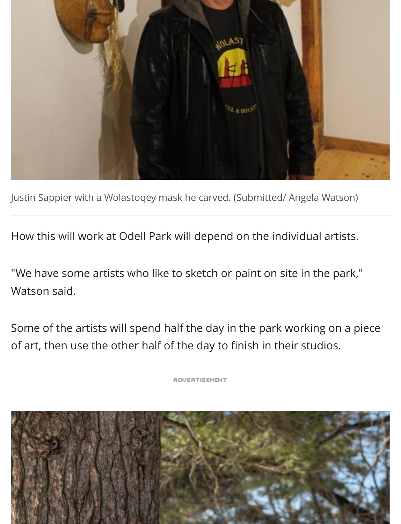

Justin Sappier with a Wolastoqey mask he carved. (Submitted/ Angela Watson)

How this will work at Odell Park will depend on the individual artists.

"We have some artists who like to sketch or paint on site in the park," Watson said.

Some of the artists will spend half the day in the park working on a piece of art, then use the other half of the day to finish in their studios.

**ADVERTISEMENT** 

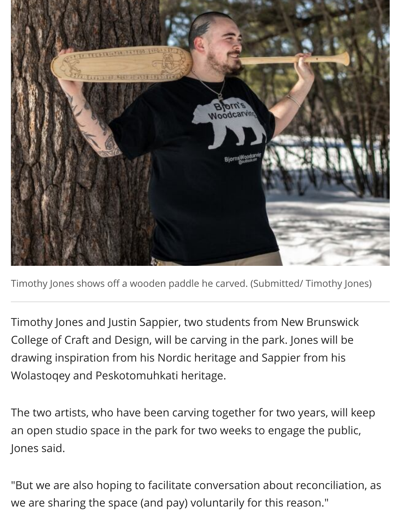

Timothy Jones shows off a wooden paddle he carved. (Submitted/ Timothy Jones)

Timothy Jones and Justin Sappier, two students from New Brunswick College of Craft and Design, will be carving in the park. Jones will be drawing inspiration from his Nordic heritage and Sappier from his Wolastoqey and Peskotomuhkati heritage.

The two artists, who have been carving together for two years, will keep an open studio space in the park for two weeks to engage the public, Jones said.

"But we are also hoping to facilitate conversation about reconciliation, as we are sharing the space (and pay) voluntarily for this reason."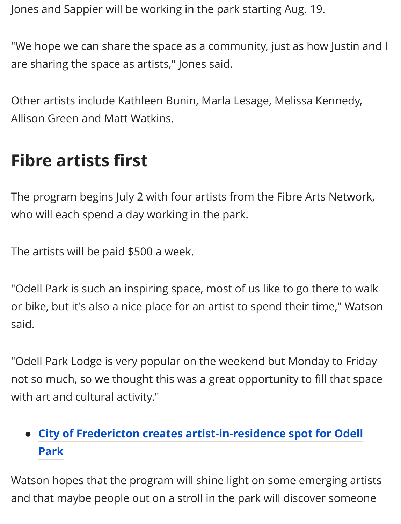Jones and Sappier will be working in the park starting Aug. 19.

"We hope we can share the space as a community, just as how Justin and I are sharing the space as artists," Jones said.

Other artists include Kathleen Bunin, Marla Lesage, Melissa Kennedy, Allison Green and Matt Watkins.

## **Fibre artists first**

The program begins July 2 with four artists from the Fibre Arts Network, who will each spend a day working in the park.

The artists will be paid \$500 a week.

"Odell Park is such an inspiring space, most of us like to go there to walk or bike, but it's also a nice place for an artist to spend their time," Watson said.

"Odell Park Lodge is very popular on the weekend but Monday to Friday not so much, so we thought this was a great opportunity to fill that space with art and cultural activity."

## **[City of Fredericton creates artist-in-residence spot for Odell](https://www.cbc.ca/news/canada/new-brunswick/fredericton-artist-in-residence-odell-park-1.5045317) Park**

Watson hopes that the program will shine light on some emerging artists and that maybe people out on a stroll in the park will discover someone